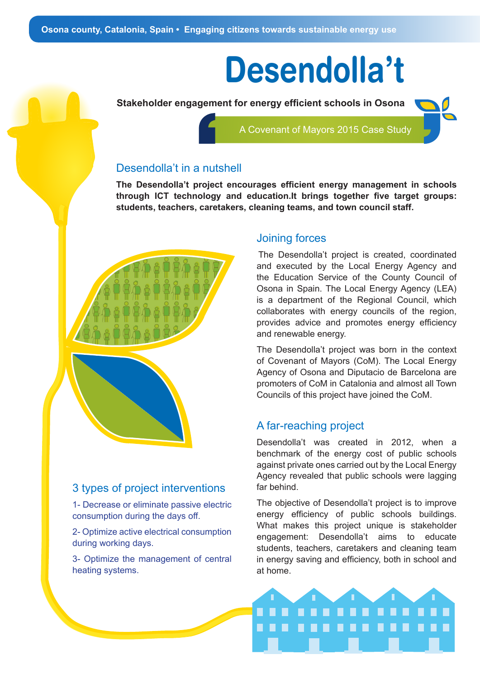# **Desendolla't**

**Stakeholder engagement for energy efficient schools in Osona**  A Covenant of Mayors 2015 Case Study

### Desendolla't in a nutshell

**The Desendolla't project encourages efficient energy management in schools through ICT technology and education.It brings together five target groups: students, teachers, caretakers, cleaning teams, and town council staff.** 



#### 3 types of project interventions

1- Decrease or eliminate passive electric consumption during the days off.

2- Optimize active electrical consumption during working days.

3- Optimize the management of central heating systems.

#### Joining forces

The Desendolla't project is created, coordinated and executed by the Local Energy Agency and the Education Service of the County Council of Osona in Spain. The Local Energy Agency (LEA) is a department of the Regional Council, which collaborates with energy councils of the region, provides advice and promotes energy efficiency and renewable energy.

The Desendolla't project was born in the context of Covenant of Mayors (CoM). The Local Energy Agency of Osona and Diputacio de Barcelona are promoters of CoM in Catalonia and almost all Town Councils of this project have joined the CoM.

#### A far-reaching project

Desendolla't was created in 2012, when a benchmark of the energy cost of public schools against private ones carried out by the Local Energy Agency revealed that public schools were lagging far behind.

The objective of Desendolla't project is to improve energy efficiency of public schools buildings. What makes this project unique is stakeholder engagement: Desendolla't aims to educate students, teachers, caretakers and cleaning team in energy saving and efficiency, both in school and at home.